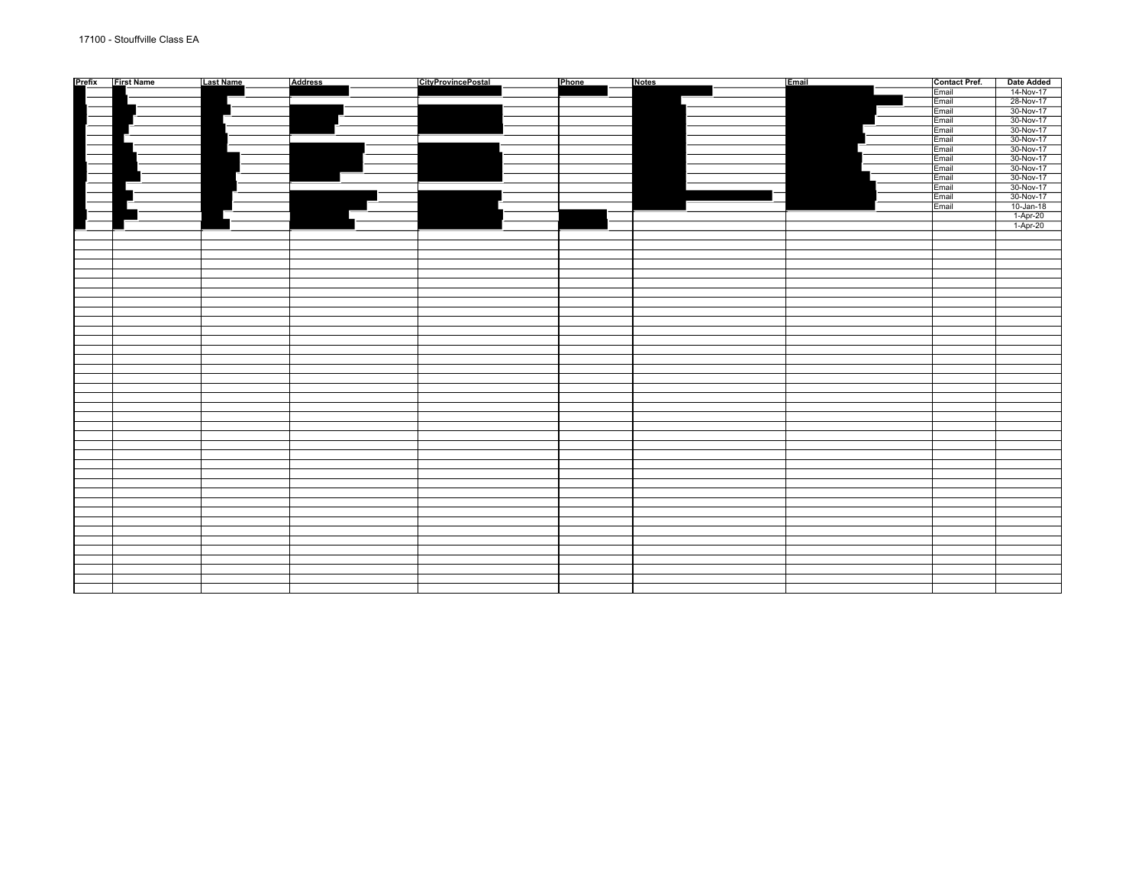| Prefix First Name | <b>Last Name</b> | Address | <b>CityProvincePostal</b> | Phone | <b>Notes</b> | Email | <b>Contact Pref.</b> | <b>Date Added</b>                                                                                                                                                                                                                     |
|-------------------|------------------|---------|---------------------------|-------|--------------|-------|----------------------|---------------------------------------------------------------------------------------------------------------------------------------------------------------------------------------------------------------------------------------|
|                   |                  |         |                           |       |              |       | Email                |                                                                                                                                                                                                                                       |
|                   |                  |         |                           |       |              |       | Email                |                                                                                                                                                                                                                                       |
|                   |                  |         |                           |       |              |       |                      |                                                                                                                                                                                                                                       |
|                   |                  |         |                           |       |              |       | Email                |                                                                                                                                                                                                                                       |
|                   |                  |         |                           |       |              |       | Email                |                                                                                                                                                                                                                                       |
|                   |                  |         |                           |       |              |       | Email                |                                                                                                                                                                                                                                       |
|                   |                  |         |                           |       |              |       | Email                |                                                                                                                                                                                                                                       |
|                   |                  |         |                           |       |              |       | Email                | $\frac{14 \cdot Nov - 17}{28 \cdot Nov - 17}$ $\frac{28 \cdot Nov - 17}{30 \cdot Nov - 17}$ $\frac{30 \cdot Nov - 17}{30 \cdot Nov - 17}$ $\frac{30 \cdot Nov - 17}{30 \cdot Nov - 17}$ $\frac{30 \cdot Nov - 17}{20 \cdot Nov - 17}$ |
|                   |                  |         |                           |       |              |       | Email                |                                                                                                                                                                                                                                       |
|                   |                  |         |                           |       |              |       | Email                | 30-Nov-17                                                                                                                                                                                                                             |
|                   |                  |         |                           |       |              |       | Email                | 30-Nov-17                                                                                                                                                                                                                             |
|                   |                  |         |                           |       | $\Box$       |       | Email                |                                                                                                                                                                                                                                       |
|                   |                  |         |                           |       |              |       | Email                | 30-Nov-17<br>30-Nov-17<br>10-Jan-18<br>1-Apr-20<br>1-Apr-20                                                                                                                                                                           |
|                   |                  |         |                           |       |              |       | Email                |                                                                                                                                                                                                                                       |
|                   |                  |         |                           |       |              |       |                      |                                                                                                                                                                                                                                       |
|                   |                  |         |                           |       |              |       |                      |                                                                                                                                                                                                                                       |
|                   |                  |         |                           |       |              |       |                      |                                                                                                                                                                                                                                       |
|                   |                  |         |                           |       |              |       |                      |                                                                                                                                                                                                                                       |
|                   |                  |         |                           |       |              |       |                      |                                                                                                                                                                                                                                       |
|                   |                  |         |                           |       |              |       |                      |                                                                                                                                                                                                                                       |
|                   |                  |         |                           |       |              |       |                      |                                                                                                                                                                                                                                       |
|                   |                  |         |                           |       |              |       |                      |                                                                                                                                                                                                                                       |
|                   |                  |         |                           |       |              |       |                      |                                                                                                                                                                                                                                       |
|                   |                  |         |                           |       |              |       |                      |                                                                                                                                                                                                                                       |
|                   |                  |         |                           |       |              |       |                      |                                                                                                                                                                                                                                       |
|                   |                  |         |                           |       |              |       |                      |                                                                                                                                                                                                                                       |
|                   |                  |         |                           |       |              |       |                      |                                                                                                                                                                                                                                       |
|                   |                  |         |                           |       |              |       |                      |                                                                                                                                                                                                                                       |
|                   |                  |         |                           |       |              |       |                      |                                                                                                                                                                                                                                       |
|                   |                  |         |                           |       |              |       |                      |                                                                                                                                                                                                                                       |
|                   |                  |         |                           |       |              |       |                      |                                                                                                                                                                                                                                       |
|                   |                  |         |                           |       |              |       |                      |                                                                                                                                                                                                                                       |
|                   |                  |         |                           |       |              |       |                      |                                                                                                                                                                                                                                       |
|                   |                  |         |                           |       |              |       |                      |                                                                                                                                                                                                                                       |
|                   |                  |         |                           |       |              |       |                      |                                                                                                                                                                                                                                       |
|                   |                  |         |                           |       |              |       |                      |                                                                                                                                                                                                                                       |
|                   |                  |         |                           |       |              |       |                      |                                                                                                                                                                                                                                       |
|                   |                  |         |                           |       |              |       |                      |                                                                                                                                                                                                                                       |
|                   |                  |         |                           |       |              |       |                      |                                                                                                                                                                                                                                       |
|                   |                  |         |                           |       |              |       |                      |                                                                                                                                                                                                                                       |
|                   |                  |         |                           |       |              |       |                      |                                                                                                                                                                                                                                       |
|                   |                  |         |                           |       |              |       |                      |                                                                                                                                                                                                                                       |
|                   |                  |         |                           |       |              |       |                      |                                                                                                                                                                                                                                       |
|                   |                  |         |                           |       |              |       |                      |                                                                                                                                                                                                                                       |
|                   |                  |         |                           |       |              |       |                      |                                                                                                                                                                                                                                       |
|                   |                  |         |                           |       |              |       |                      |                                                                                                                                                                                                                                       |
|                   |                  |         |                           |       |              |       |                      |                                                                                                                                                                                                                                       |
|                   |                  |         |                           |       |              |       |                      |                                                                                                                                                                                                                                       |
|                   |                  |         |                           |       |              |       |                      |                                                                                                                                                                                                                                       |
|                   |                  |         |                           |       |              |       |                      |                                                                                                                                                                                                                                       |
|                   |                  |         |                           |       |              |       |                      |                                                                                                                                                                                                                                       |
|                   |                  |         |                           |       |              |       |                      |                                                                                                                                                                                                                                       |
|                   |                  |         |                           |       |              |       |                      |                                                                                                                                                                                                                                       |
|                   |                  |         |                           |       |              |       |                      |                                                                                                                                                                                                                                       |
|                   |                  |         |                           |       |              |       |                      |                                                                                                                                                                                                                                       |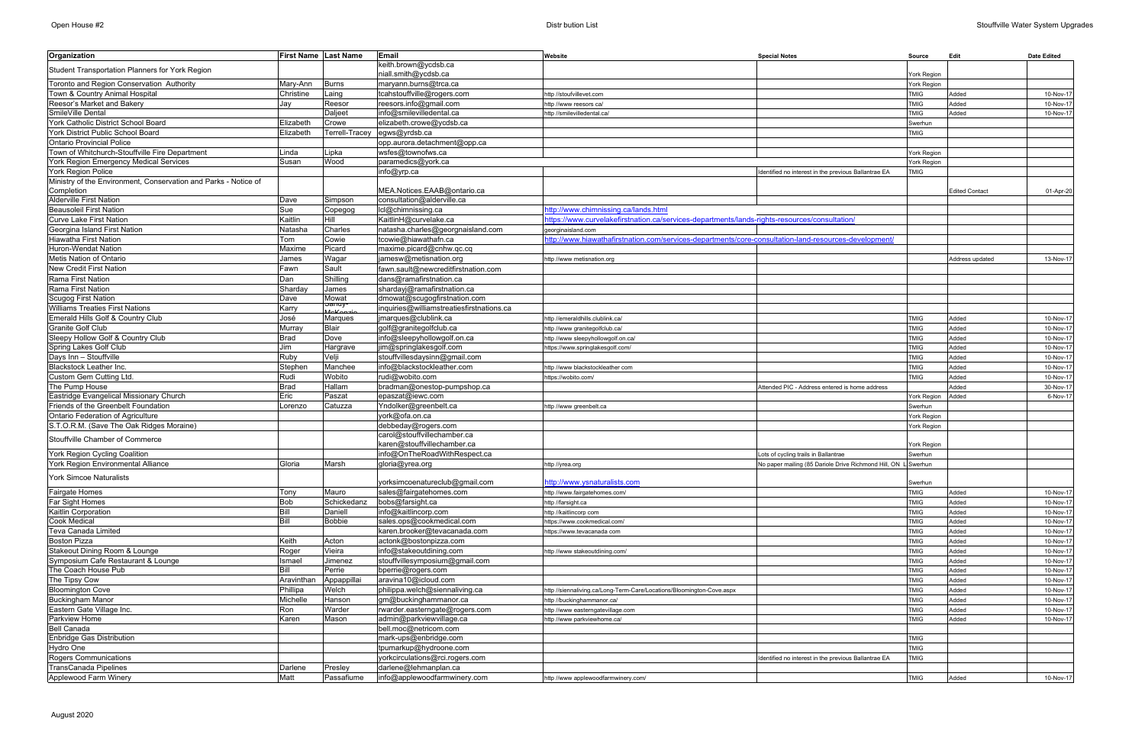| Organization                                                    |                | First Name Last Name | Email                                              | Website                                                                                               | <b>Special Notes</b>                                           | Source      | Edit                  | <b>Date Edited</b> |
|-----------------------------------------------------------------|----------------|----------------------|----------------------------------------------------|-------------------------------------------------------------------------------------------------------|----------------------------------------------------------------|-------------|-----------------------|--------------------|
| Student Transportation Planners for York Region                 |                |                      | keith.brown@ycdsb.ca                               |                                                                                                       |                                                                |             |                       |                    |
|                                                                 |                |                      | niall.smith@ycdsb.ca                               |                                                                                                       |                                                                | York Region |                       |                    |
| Toronto and Region Conservation Authority                       | Mary-Ann       | <b>Burns</b>         | maryann.burns@trca.ca                              |                                                                                                       |                                                                | York Region |                       |                    |
| Town & Country Animal Hospital                                  | Christine      | Laing                | tcahstouffville@rogers.com                         | ttp //stoufvillevet.com                                                                               |                                                                | <b>TMIG</b> | Added                 | 10-Nov-17          |
| Reesor's Market and Bakery                                      | Jay            | Reesor               | reesors.info@gmail.com                             | http //www reesors ca/                                                                                |                                                                | <b>TMIG</b> | Added                 | 10-Nov-17          |
| SmileVille Dental                                               |                | Daljeet              | info@smilevilledental.ca                           | /ttp //smilevilledental.ca                                                                            |                                                                | <b>TMIG</b> | Added                 | 10-Nov-17          |
| York Catholic District School Board                             | Elizabeth      | Crowe                | elizabeth.crowe@ycdsb.ca                           |                                                                                                       |                                                                | Swerhun     |                       |                    |
| York District Public School Board                               | Elizabeth      | Terrell-Tracey       | egws@yrdsb.ca                                      |                                                                                                       |                                                                | <b>TMIG</b> |                       |                    |
| <b>Ontario Provincial Police</b>                                |                |                      | opp.aurora.detachment@opp.ca                       |                                                                                                       |                                                                |             |                       |                    |
| Town of Whitchurch-Stouffville Fire Department                  | Linda          | Lipka                | wsfes@townofws.ca                                  |                                                                                                       |                                                                | York Region |                       |                    |
| York Region Emergency Medical Services                          | Susan          | Nood                 | paramedics@york.ca                                 |                                                                                                       |                                                                | York Region |                       |                    |
| York Region Police                                              |                |                      | info@yrp.ca                                        |                                                                                                       | Identified no interest in the previous Ballantrae EA           | <b>TMIG</b> |                       |                    |
| Ministry of the Environment, Conservation and Parks - Notice of |                |                      |                                                    |                                                                                                       |                                                                |             |                       |                    |
| Completion                                                      |                |                      | MEA.Notices.EAAB@ontario.ca                        |                                                                                                       |                                                                |             | <b>Edited Contact</b> | 01-Apr-20          |
| Alderville First Nation                                         | Dave           | Simpson              | consultation@alderville.ca                         |                                                                                                       |                                                                |             |                       |                    |
| <b>Beausoleil First Nation</b>                                  | Sue            | Copegog              | Icl@chimnissing.ca                                 | ittp://www.chimnissing.ca/lands.html                                                                  |                                                                |             |                       |                    |
| Curve Lake First Nation                                         | Kaitlin        | Hill                 | KaitlinH@curvelake.ca                              | /ttps://www.curvelakefirstnation.ca/services-departments/lands-rights-resources/consultation          |                                                                |             |                       |                    |
| Georgina Island First Nation                                    | Natasha        | Charles              | natasha.charles@georgnaisland.com                  | georginaisland.com                                                                                    |                                                                |             |                       |                    |
| Hiawatha First Nation                                           | Tom            | Cowie                | tcowie@hiawathafn.ca                               | http://www.hiawathafirstnation.com/services-departments/core-consultation-land-resources-development/ |                                                                |             |                       |                    |
| Huron-Wendat Nation                                             | Maxime         | Picard               | maxime.picard@cnhw.qc.cq                           |                                                                                                       |                                                                |             |                       |                    |
| Metis Nation of Ontario                                         | James          | Wagar                | jamesw@metisnation.org                             | ittp //www metisnation.org                                                                            |                                                                |             | Address updated       | 13-Nov-17          |
| New Credit First Nation                                         | Fawn           | Sault                | fawn.sault@newcreditfirstnation.com                |                                                                                                       |                                                                |             |                       |                    |
| Rama First Nation                                               | Dan            | Shilling             | dans@ramafirstnation.ca                            |                                                                                                       |                                                                |             |                       |                    |
| Rama First Nation                                               | <b>Sharday</b> | James                | shardayj@ramafirstnation.ca                        |                                                                                                       |                                                                |             |                       |                    |
| Scugog First Nation                                             | Dave           | Mowat<br>anuy        | dmowat@scugogfirstnation.com                       |                                                                                                       |                                                                |             |                       |                    |
| <b>Williams Treaties First Nations</b>                          | Karry          | بمكامة               | inquiries@williamstreatiesfirstnations.ca          |                                                                                                       |                                                                |             |                       |                    |
| Emerald Hills Golf & Country Club                               | José           | Marques              | jmarques@clublink.ca                               | ttp://emeraldhills.clublink.ca/                                                                       |                                                                | <b>TMIG</b> | Added                 | 10-Nov-17          |
| <b>Granite Golf Club</b>                                        | Murray         | <b>Blair</b>         | golf@granitegolfclub.ca                            | http //www granitegolfclub.ca/                                                                        |                                                                | <b>TMIG</b> | Added                 | 10-Nov-17          |
| Sleepy Hollow Golf & Country Club                               | <b>Brad</b>    | Dove                 | info@sleepyhollowgolf.on.ca                        | http //www sleepyhollowgolf.on.ca/                                                                    |                                                                | <b>TMIG</b> | Added                 | 10-Nov-17          |
| Spring Lakes Golf Club                                          | Jim            | Hargrave             | jim@springlakesgolf.com                            | https://www.springlakesgolf.com/                                                                      |                                                                | <b>TMIG</b> | Added                 | 10-Nov-17          |
| Days Inn - Stouffville                                          | Ruby           | Velji                | stouffvillesdaysinn@gmail.com                      |                                                                                                       |                                                                | <b>TMIG</b> | Added                 | 10-Nov-17          |
| Blackstock Leather Inc.                                         | Stephen        | Manchee              | info@blackstockleather.com                         | http //www blackstockleather com                                                                      |                                                                | <b>TMIG</b> | Added                 | 10-Nov-17          |
| Custom Gem Cutting Ltd.                                         | Rudi           | Wobito               | rudi@wobito.com                                    | ttps://wobito.com/                                                                                    |                                                                | <b>TMIG</b> | Added                 | 10-Nov-17          |
| The Pump House                                                  | <b>Brad</b>    | Hallam               | bradman@onestop-pumpshop.ca                        |                                                                                                       | Attended PIC - Address entered is home address                 |             | Added                 | 30-Nov-17          |
| Eastridge Evangelical Missionary Church                         | Eric           | Paszat               | epaszat@iewc.com                                   |                                                                                                       |                                                                | York Region | Added                 | 6-Nov-17           |
| Friends of the Greenbelt Foundation                             | Lorenzo        | Catuzza              | Yndolker@greenbelt.ca                              | ttp //www greenbelt.ca                                                                                |                                                                | Swerhun     |                       |                    |
| <b>Ontario Federation of Agriculture</b>                        |                |                      | york@ofa.on.ca                                     |                                                                                                       |                                                                | York Region |                       |                    |
| S.T.O.R.M. (Save The Oak Ridges Moraine)                        |                |                      | debbeday@rogers.com<br>carol@stouffvillechamber.ca |                                                                                                       |                                                                | York Region |                       |                    |
| Stouffville Chamber of Commerce                                 |                |                      | karen@stouffvillechamber.ca                        |                                                                                                       |                                                                | York Region |                       |                    |
| York Region Cycling Coalition                                   |                |                      | info@OnTheRoadWithRespect.ca                       |                                                                                                       | Lots of cycling trails in Ballantrae                           | Swerhun     |                       |                    |
| York Region Environmental Alliance                              | Gloria         | Marsh                | gloria@yrea.org                                    |                                                                                                       | No paper mailing (85 Dariole Drive Richmond Hill, ON L Swerhun |             |                       |                    |
|                                                                 |                |                      |                                                    | pttp //yrea.org                                                                                       |                                                                |             |                       |                    |
| <b>York Simcoe Naturalists</b>                                  |                |                      | yorksimcoenatureclub@gmail.com                     | http://www.ysnaturalists.com                                                                          |                                                                | Swerhun     |                       |                    |
| <b>Fairgate Homes</b>                                           | Tony           | Mauro                | sales@fairgatehomes.com                            | ttp //www.fairgatehomes.com/                                                                          |                                                                | <b>TMIG</b> | Added                 | 10-Nov-17          |
| Far Sight Homes                                                 | <b>Bob</b>     | Schickedanz          | bobs@farsight.ca                                   | http //farsight.ca                                                                                    |                                                                | <b>TMIG</b> | Added                 | 10-Nov-17          |
| Kaitlin Corporation                                             | Bill           | Daniell              | info@kaitlincorp.com                               | nttp //kaitlincorp com                                                                                |                                                                | <b>TMIG</b> | Added                 | 10-Nov-17          |
| <b>Cook Medical</b>                                             | Bill           | <b>Bobbie</b>        | sales.ops@cookmedical.com                          | ttps://www.cookmedical.com/                                                                           |                                                                | <b>TMIG</b> | Added                 | 10-Nov-17          |
| Teva Canada Limited                                             |                |                      | karen.brooker@tevacanada.com                       | ttps://www.tevacanada com                                                                             |                                                                | <b>TMIG</b> | Added                 | 10-Nov-17          |
| <b>Boston Pizza</b>                                             | Keith          | Acton                | actonk@bostonpizza.com                             |                                                                                                       |                                                                | <b>TMIG</b> | Added                 | 10-Nov-17          |
| Stakeout Dining Room & Lounge                                   | Roger          | Vieira               | info@stakeoutdining.com                            | http //www stakeoutdining.com/                                                                        |                                                                | <b>TMIG</b> | Added                 | 10-Nov-17          |
| Symposium Cafe Restaurant & Lounge                              | Ismael         | Jimenez              | stouffvillesymposium@gmail.com                     |                                                                                                       |                                                                | TMIG        | Added                 | 10-Nov-17          |
| The Coach House Pub                                             | Bill           | Perrie               | bperrie@rogers.com                                 |                                                                                                       |                                                                | <b>TMIG</b> | Added                 | 10-Nov-17          |
| The Tipsy Cow                                                   | Aravinthan     | Appappillai          | aravina10@icloud.com                               |                                                                                                       |                                                                | TMIG        | Added                 | 10-Nov-17          |
| <b>Bloomington Cove</b>                                         | Phillipa       | Welch                | philippa.welch@siennaliving.ca                     | http //siennaliving.ca/Long-Term-Care/Locations/Bloomington-Cove.aspx                                 |                                                                | <b>TMIG</b> | Added                 | 10-Nov-17          |
| <b>Buckingham Manor</b>                                         | Michelle       | Hanson               | gm@buckinghammanor.ca                              | http //buckinghammanor.ca/                                                                            |                                                                | TMIG        | Added                 | 10-Nov-17          |
| Eastern Gate Village Inc.                                       | Ron            | Warder               | rwarder.easterngate@rogers.com                     | http //www easterngatevillage.com                                                                     |                                                                | <b>TMIG</b> | Added                 | 10-Nov-17          |
| Parkview Home                                                   | Karen          | Mason                | admin@parkviewvillage.ca                           | http //www parkviewhome.ca/                                                                           |                                                                | TMIG        | Added                 | 10-Nov-17          |
| <b>Bell Canada</b>                                              |                |                      | bell.moc@netricom.com                              |                                                                                                       |                                                                |             |                       |                    |
| Enbridge Gas Distribution                                       |                |                      | mark-ups@enbridge.com                              |                                                                                                       |                                                                | TMIG        |                       |                    |
| Hydro One                                                       |                |                      | tpumarkup@hydroone.com                             |                                                                                                       |                                                                | <b>TMIG</b> |                       |                    |
| Rogers Communications                                           |                |                      | yorkcirculations@rci.rogers.com                    |                                                                                                       | Identified no interest in the previous Ballantrae EA           | <b>TMIG</b> |                       |                    |
| TransCanada Pipelines                                           | Darlene        | Presley              | darlene@lehmanplan.ca                              |                                                                                                       |                                                                |             |                       |                    |
| Applewood Farm Winery                                           | Matt           | Passafiume           | info@applewoodfarmwinery.com                       | http //www applewoodfarmwinery.com/                                                                   |                                                                | <b>TMIG</b> | Added                 | 10-Nov-17          |
|                                                                 |                |                      |                                                    |                                                                                                       |                                                                |             |                       |                    |